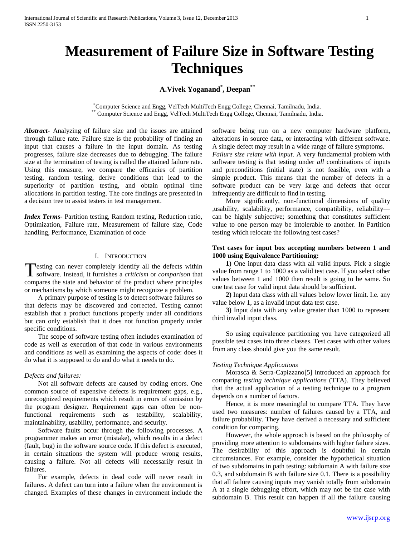# **Measurement of Failure Size in Software Testing Techniques**

## **A.Vivek Yoganand\* , Deepan\*\***

\*Computer Science and Engg, VelTech MultiTech Engg College, Chennai, Tamilnadu, India. \*\* Computer Science and Engg, VelTech MultiTech Engg College, Chennai, Tamilnadu, India.

*Abstract***-** Analyzing of failure size and the issues are attained through failure rate. Failure size is the probability of finding an input that causes a failure in the input domain. As testing progresses, failure size decreases due to debugging. The failure size at the termination of testing is called the attained failure rate. Using this measure, we compare the efficacies of partition testing, random testing, derive conditions that lead to the superiority of partition testing, and obtain optimal time allocations in partition testing. The core findings are presented in a decision tree to assist testers in test management.

*Index Terms*- Partition testing, Random testing, Reduction ratio, Optimization, Failure rate, Measurement of failure size, Code handling, Performance, Examination of code

## I. INTRODUCTION

**Pesting can never completely identify all the defects within T**esting can never completely identify all the defects within software. Instead, it furnishes a *criticism* or *comparison* that compares the state and behavior of the product where principles or mechanisms by which someone might recognize a problem.

 A primary purpose of testing is to detect software failures so that defects may be discovered and corrected. Testing cannot establish that a product functions properly under all conditions but can only establish that it does not function properly under specific conditions.

 The scope of software testing often includes examination of code as well as execution of that code in various environments and conditions as well as examining the aspects of code: does it do what it is supposed to do and do what it needs to do.

## *Defects and failures:*

 Not all software defects are caused by coding errors. One common source of expensive defects is requirement gaps, e.g., unrecognized requirements which result in errors of omission by the program designer. Requirement gaps can often be nonfunctional requirements such as testability, scalability, maintainability, usability, performance, and security.

 Software faults occur through the following processes. A programmer makes an error (mistake), which results in a defect (fault, bug) in the software source code. If this defect is executed, in certain situations the system will produce wrong results, causing a failure. Not all defects will necessarily result in failures.

 For example, defects in dead code will never result in failures. A defect can turn into a failure when the environment is changed. Examples of these changes in environment include the software being run on a new computer hardware platform, alterations in source data, or interacting with different software. A single defect may result in a wide range of failure symptoms. *Failure size relate with input*. A very fundamental problem with software testing is that testing under *all* combinations of inputs

and preconditions (initial state) is not feasible, even with a simple product. This means that the number of defects in a software product can be very large and defects that occur infrequently are difficult to find in testing.

 More significantly, non-functional dimensions of quality ,usability, scalability, performance, compatibility, reliability can be highly subjective; something that constitutes sufficient value to one person may be intolerable to another. In Partition testing which relocate the following test cases?

## **Test cases for input box accepting numbers between 1 and 1000 using Equivalence Partitioning:**

 **1)** One input data class with all valid inputs. Pick a single value from range 1 to 1000 as a valid test case. If you select other values between 1 and 1000 then result is going to be same. So one test case for valid input data should be sufficient.

 **2)** Input data class with all values below lower limit. I.e. any value below 1, as a invalid input data test case.

 **3)** Input data with any value greater than 1000 to represent third invalid input class.

 So using equivalence partitioning you have categorized all possible test cases into three classes. Test cases with other values from any class should give you the same result.

## *Testing Technique Applications*

 Morasca & Serra-Capizzano[5] introduced an approach for comparing *testing technique applications* (TTA). They believed that the actual application of a testing technique to a program depends on a number of factors.

 Hence, it is more meaningful to compare TTA. They have used two measures: number of failures caused by a TTA, and failure probability. They have derived a necessary and sufficient condition for comparing.

 However, the whole approach is based on the philosophy of providing more attention to subdomains with higher failure sizes. The desirability of this approach is doubtful in certain circumstances. For example, consider the hypothetical situation of two subdomains in path testing: subdomain A with failure size 0.3, and subdomain B with failure size 0.1. There is a possibility that all failure causing inputs may vanish totally from subdomain A at a single debugging effort, which may not be the case with subdomain B. This result can happen if all the failure causing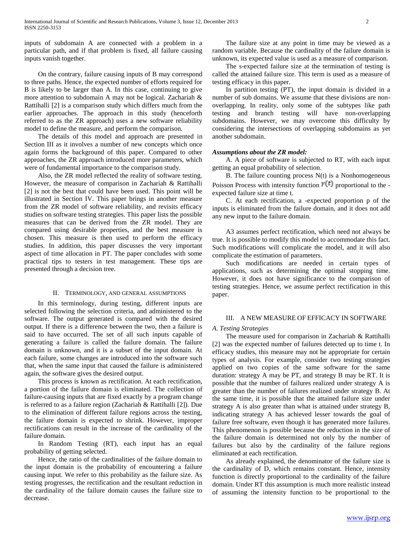inputs of subdomain A are connected with a problem in a particular path, and if that problem is fixed, all failure causing inputs vanish together.

 On the contrary, failure causing inputs of B may correspond to three paths. Hence, the expected number of efforts required for B is likely to be larger than A. In this case, continuing to give more attention to subdomain A may not be logical. Zachariah & Rattihalli [2] is a comparison study which differs much from the earlier approaches. The approach in this study (henceforth referred to as the ZR approach) uses a new software reliability model to define the measure, and perform the comparison.

 The details of this model and approach are presented in Section III as it involves a number of new concepts which once again forms the background of this paper. Compared to other approaches, the ZR approach introduced more parameters, which were of fundamental importance to the comparison study.

 Also, the ZR model reflected the reality of software testing. However, the measure of comparison in Zachariah & Rattihalli [2] is not the best that could have been used. This point will be illustrated in Section IV. This paper brings in another measure from the ZR model of software reliability, and revisits efficacy studies on software testing strategies. This paper lists the possible measures that can be derived from the ZR model. They are compared using desirable properties, and the best measure is chosen. This measure is then used to perform the efficacy studies. In addition, this paper discusses the very important aspect of time allocation in PT. The paper concludes with some practical tips to testers in test management. These tips are presented through a decision tree.

#### II. TERMINOLOGY, AND GENERAL ASSUMPTIONS

 In this terminology, during testing, different inputs are selected following the selection criteria, and administered to the software. The output generated is compared with the desired output. If there is a difference between the two, then a failure is said to have occurred. The set of all such inputs capable of generating a failure is called the failure domain. The failure domain is unknown, and it is a subset of the input domain. At each failure, some changes are introduced into the software such that, when the same input that caused the failure is administered again, the software gives the desired output.

 This process is known as rectification. At each rectification, a portion of the failure domain is eliminated. The collection of failure-causing inputs that are fixed exactly by a program change is referred to as a failure region (Zachariah & Rattihalli [2]). Due to the elimination of different failure regions across the testing, the failure domain is expected to shrink. However, improper rectifications can result in the increase of the cardinality of the failure domain.

 In Random Testing (RT), each input has an equal probability of getting selected.

 Hence, the ratio of the cardinalities of the failure domain to the input domain is the probability of encountering a failure causing input. We refer to this probability as the failure size. As testing progresses, the rectification and the resultant reduction in the cardinality of the failure domain causes the failure size to decrease.

 The failure size at any point in time may be viewed as a random variable. Because the cardinality of the failure domain is unknown, its expected value is used as a measure of comparison.

 The s-expected failure size at the termination of testing is called the attained failure size. This term is used as a measure of testing efficacy in this paper.

 In partition testing (PT), the input domain is divided in a number of sub domains. We assume that these divisions are nonoverlapping. In reality, only some of the subtypes like path testing and branch testing will have non-overlapping subdomains. However, we may overcome this difficulty by considering the intersections of overlapping subdomains as yet another subdomain.

## *Assumptions about the ZR model:*

 A. A piece of software is subjected to RT, with each input getting an equal probability of selection.

B. The failure counting process  $N(t)$  is a Nonhomogeneous Poisson Process with intensity function  $y(t)$  proportional to the expected failure size at time t.

 C. At each rectification, a -expected proportion p of the inputs is eliminated from the failure domain, and it does not add any new input to the failure domain.

 A3 assumes perfect rectification, which need not always be true. It is possible to modify this model to accommodate this fact. Such modifications will complicate the model, and it will also complicate the estimation of parameters.

 Such modifications are needed in certain types of applications, such as determining the optimal stopping time. However, it does not have significance to the comparison of testing strategies. Hence, we assume perfect rectification in this paper.

### III. A NEW MEASURE OF EFFICACY IN SOFTWARE

#### *A. Testing Strategies*

 The measure used for comparison in Zachariah & Rattihalli [2] was the expected number of failures detected up to time t. In efficacy studies, this measure may not be appropriate for certain types of analysis. For example, consider two testing strategies applied on two copies of the same software for the same duration: strategy A may be PT, and strategy B may be RT. It is possible that the number of failures realized under strategy A is greater than the number of failures realized under strategy B. At the same time, it is possible that the attained failure size under strategy A is also greater than what is attained under strategy B, indicating strategy A has achieved lesser towards the goal of failure free software, even though it has generated more failures. This phenomenon is possible because the reduction in the size of the failure domain is determined not only by the number of failures but also by the cardinality of the failure regions eliminated at each rectification.

 As already explained, the denominator of the failure size is the cardinality of D, which remains constant. Hence, intensity function is directly proportional to the cardinality of the failure domain. Under RT this assumption is much more realistic instead of assuming the intensity function to be proportional to the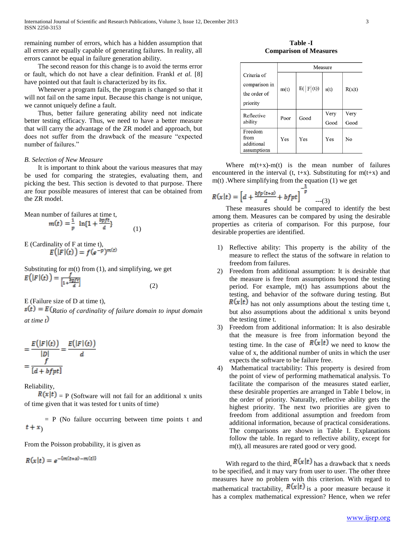remaining number of errors, which has a hidden assumption that all errors are equally capable of generating failures. In reality, all errors cannot be equal in failure generation ability.

 The second reason for this change is to avoid the terms error or fault, which do not have a clear definition. Frankl *et al.* [8] have pointed out that fault is characterized by its fix.

 Whenever a program fails, the program is changed so that it will not fail on the same input. Because this change is not unique, we cannot uniquely define a fault.

 Thus, better failure generating ability need not indicate better testing efficacy. Thus, we need to have a better measure that will carry the advantage of the ZR model and approach, but does not suffer from the drawback of the measure "expected number of failures."

## *B. Selection of New Measure*

 It is important to think about the various measures that may be used for comparing the strategies, evaluating them, and picking the best. This section is devoted to that purpose. There are four possible measures of interest that can be obtained from the ZR model.

Mean number of failures at time t,  
\n
$$
m(t) = \frac{1}{p} \ln\{1 + \frac{bpft}{d}\}
$$
\n(1)

E (Cardinality of F at time t),  

$$
E(|F|(t)) = f(e^{-p})^{m(t)}
$$

Substituting for m(t) from (1), and simplifying, we get  $E(|F|(t)) = \frac{f}{[1 + \frac{hypft}{d}]}$  $(2)$ 

E (Failure size of D at time t),

 $s(t) = E$ (*Ratio of cardinality of failure domain to input domain at time t*

$$
= \frac{E(|F|(t))}{|D|} = \frac{E(|F|(t))}{d}
$$

$$
= \frac{f}{[d+bfpt]}
$$

Reliability,

 $R(x|t) = P$  (Software will not fail for an additional x units of time given that it was tested for t units of time)

 $=$  P (No failure occurring between time points t and  $t + x$ 

From the Poisson probability, it is given as

 $R(x|t) = e^{-\{m(t+x) - m(t)\}}$ 

**Table -I Comparison of Measures**

|                                                          | Measure |           |              |              |
|----------------------------------------------------------|---------|-----------|--------------|--------------|
| Criteria of<br>comparison in<br>the order of<br>priority | m(t)    | E( F (t)) | s(t)         | R(x t)       |
| Reflective<br>ability                                    | Poor    | Good      | Very<br>Good | Very<br>Good |
| Freedom<br>from<br>additional<br>assumptions             | Yes     | Yes       | Yes          | No           |

Where  $m(t+x)-m(t)$  is the mean number of failures encountered in the interval  $(t, t+x)$ . Substituting for m $(t+x)$  and m(t) .Where simplifying from the equation (1) we get

$$
R(x|t) = \left[d + \frac{bfp(t+x)}{d} + bfpt\right]^{-\frac{1}{p}} \quad \dots (3)
$$

 These measures should be compared to identify the best among them. Measures can be compared by using the desirable properties as criteria of comparison. For this purpose, four desirable properties are identified.

- 1) Reflective ability: This property is the ability of the measure to reflect the status of the software in relation to freedom from failures.
- 2) Freedom from additional assumption: It is desirable that the measure is free from assumptions beyond the testing period. For example, m(t) has assumptions about the testing, and behavior of the software during testing. But  $R(x|t)$  has not only assumptions about the testing time t, but also assumptions about the additional x units beyond the testing time t.
- 3) Freedom from additional information: It is also desirable that the measure is free from information beyond the testing time. In the case of  $R(x|t)$  we need to know the value of x, the additional number of units in which the user expects the software to be failure free.
- 4) Mathematical tractability: This property is desired from the point of view of performing mathematical analysis. To facilitate the comparison of the measures stated earlier, these desirable properties are arranged in Table I below, in the order of priority. Naturally, reflective ability gets the highest priority. The next two priorities are given to freedom from additional assumption and freedom from additional information, because of practical considerations. The comparisons are shown in Table I. Explanations follow the table. In regard to reflective ability, except for m(t), all measures are rated good or very good.

With regard to the third,  $R(x|t)$  has a drawback that x needs to be specified, and it may vary from user to user. The other three measures have no problem with this criterion. With regard to mathematical tractability,  $R(x|t)$  is a poor measure because it has a complex mathematical expression? Hence, when we refer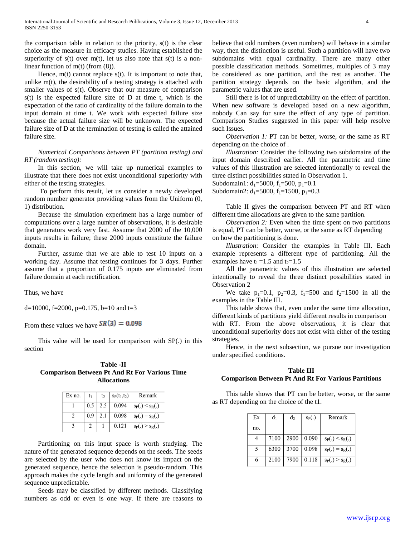the comparison table in relation to the priority, s(t) is the clear choice as the measure in efficacy studies. Having established the superiority of  $s(t)$  over  $m(t)$ , let us also note that  $s(t)$  is a nonlinear function of  $m(t)$  (from  $(8)$ ).

Hence,  $m(t)$  cannot replace  $s(t)$ . It is important to note that, unlike m(t), the desirability of a testing strategy is attached with smaller values of s(t). Observe that our measure of comparison s(t) is the expected failure size of D at time t, which is the expectation of the ratio of cardinality of the failure domain to the input domain at time t. We work with expected failure size because the actual failure size will be unknown. The expected failure size of D at the termination of testing is called the attained failure size.

## *Numerical Comparisons between PT (partition testing) and RT (random testing):*

 In this section, we will take up numerical examples to illustrate that there does not exist unconditional superiority with either of the testing strategies.

 To perform this result, let us consider a newly developed random number generator providing values from the Uniform (0, 1) distribution.

 Because the simulation experiment has a large number of computations over a large number of observations, it is desirable that generators work very fast. Assume that 2000 of the 10,000 inputs results in failure; these 2000 inputs constitute the failure domain.

 Further, assume that we are able to test 10 inputs on a working day. Assume that testing continues for 3 days. Further assume that a proportion of 0.175 inputs are eliminated from failure domain at each rectification.

Thus, we have

d=10000, f=2000, p=0.175, b=10 and t=3

From these values we have  $SR(3) = 0.098$ 

 This value will be used for comparison with SP(.) in this section

## **Table -II Comparison Between Pt And Rt For Various Time Allocations**

| Ex no. | $t_1$         | $\mathsf{t}_2$    | $s_{P}(t_1,t_2)$ | Remark               |
|--------|---------------|-------------------|------------------|----------------------|
|        | $0.5^{\circ}$ | $\vert 2.5 \vert$ | 0.094            | $s_P(.) \leq s_R(.)$ |
|        | 0.9           | 2.1               | 0.098            | $s_P(.) = s_R(.)$    |
|        |               |                   | 0.121            | $s_P(.) > s_R(.)$    |

 Partitioning on this input space is worth studying. The nature of the generated sequence depends on the seeds. The seeds are selected by the user who does not know its impact on the generated sequence, hence the selection is pseudo-random. This approach makes the cycle length and uniformity of the generated sequence unpredictable.

 Seeds may be classified by different methods. Classifying numbers as odd or even is one way. If there are reasons to believe that odd numbers (even numbers) will behave in a similar way, then the distinction is useful. Such a partition will have two subdomains with equal cardinality. There are many other possible classification methods. Sometimes, multiples of 3 may be considered as one partition, and the rest as another. The partition strategy depends on the basic algorithm, and the parametric values that are used.

 Still there is lot of unpredictability on the effect of partition. When new software is developed based on a new algorithm, nobody Can say for sure the effect of any type of partition. Comparison Studies suggested in this paper will help resolve such Issues.

 *Observation 1:* PT can be better, worse, or the same as RT depending on the choice of .

 *Illustration:* Consider the following two subdomains of the input domain described earlier. All the parametric and time values of this illustration are selected intentionally to reveal the three distinct possibilities stated in Observation 1.

Subdomain1:  $d_1 = 5000$ ,  $f_1 = 500$ ,  $p_1 = 0.1$ 

Subdomain2:  $d_1 = 5000$ ,  $f_1 = 1500$ ,  $p_1 = 0.3$ 

 Table II gives the comparison between PT and RT when different time allocations are given to the same partition.

 *Observation 2:* Even when the time spent on two partitions is equal, PT can be better, worse, or the same as RT depending on how the partitioning is done.

 *Illustration*: Consider the examples in Table III. Each example represents a different type of partitioning. All the examples have  $t_1 = 1.5$  and  $t_2 = 1.5$ 

 All the parametric values of this illustration are selected intentionally to reveal the three distinct possibilities stated in Observation 2

We take  $p_1=0.1$ ,  $p_2=0.3$ ,  $f_1=500$  and  $f_2=1500$  in all the examples in the Table III.

 This table shows that, even under the same time allocation, different kinds of partitions yield different results in comparison with RT. From the above observations, it is clear that unconditional superiority does not exist with either of the testing strategies.

 Hence, in the next subsection, we pursue our investigation under specified conditions.

## **Table III Comparison Between Pt And Rt For Various Partitions**

 This table shows that PT can be better, worse, or the same as RT depending on the choice of the t1.

| Ex  | d <sub>1</sub> | d <sub>2</sub> | Sp(.) | Remark            |
|-----|----------------|----------------|-------|-------------------|
| no. |                |                |       |                   |
| 4   | 7100           | 2900           | 0.090 | $s_P(.) < s_R(.)$ |
| 5   | 6300           | 3700           | 0.098 | $s_P(.) = s_R(.)$ |
| 6   | 2100           | 7900           | 0.118 | $s_P(.) > s_R(.)$ |